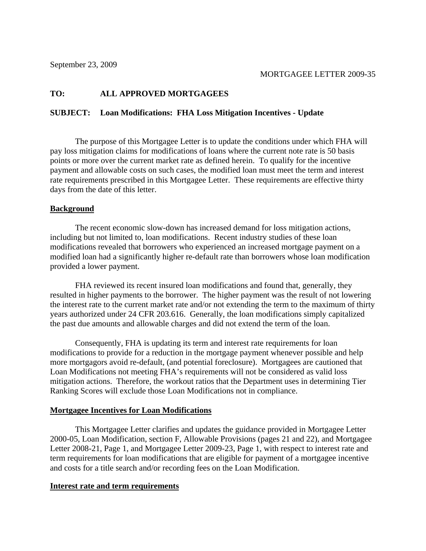# **TO: ALL APPROVED MORTGAGEES**

## **SUBJECT: Loan Modifications: FHA Loss Mitigation Incentives - Update**

The purpose of this Mortgagee Letter is to update the conditions under which FHA will pay loss mitigation claims for modifications of loans where the current note rate is 50 basis points or more over the current market rate as defined herein. To qualify for the incentive payment and allowable costs on such cases, the modified loan must meet the term and interest rate requirements prescribed in this Mortgagee Letter. These requirements are effective thirty days from the date of this letter.

## **Background**

The recent economic slow-down has increased demand for loss mitigation actions, including but not limited to, loan modifications. Recent industry studies of these loan modifications revealed that borrowers who experienced an increased mortgage payment on a modified loan had a significantly higher re-default rate than borrowers whose loan modification provided a lower payment.

FHA reviewed its recent insured loan modifications and found that, generally, they resulted in higher payments to the borrower. The higher payment was the result of not lowering the interest rate to the current market rate and/or not extending the term to the maximum of thirty years authorized under 24 CFR 203.616. Generally, the loan modifications simply capitalized the past due amounts and allowable charges and did not extend the term of the loan.

Consequently, FHA is updating its term and interest rate requirements for loan modifications to provide for a reduction in the mortgage payment whenever possible and help more mortgagors avoid re-default, (and potential foreclosure). Mortgagees are cautioned that Loan Modifications not meeting FHA's requirements will not be considered as valid loss mitigation actions. Therefore, the workout ratios that the Department uses in determining Tier Ranking Scores will exclude those Loan Modifications not in compliance.

## **Mortgagee Incentives for Loan Modifications**

This Mortgagee Letter clarifies and updates the guidance provided in Mortgagee Letter 2000-05, Loan Modification, section F, Allowable Provisions (pages 21 and 22), and Mortgagee Letter 2008-21, Page 1, and Mortgagee Letter 2009-23, Page 1, with respect to interest rate and term requirements for loan modifications that are eligible for payment of a mortgagee incentive and costs for a title search and/or recording fees on the Loan Modification.

## **Interest rate and term requirements**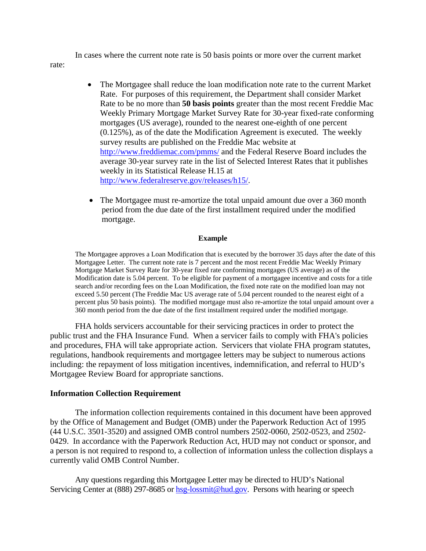In cases where the current note rate is 50 basis points or more over the current market

rate:

- The Mortgagee shall reduce the loan modification note rate to the current Market Rate. For purposes of this requirement, the Department shall consider Market Rate to be no more than **50 basis points** greater than the most recent Freddie Mac Weekly Primary Mortgage Market Survey Rate for 30-year fixed-rate conforming mortgages (US average), rounded to the nearest one-eighth of one percent (0.125%), as of the date the Modification Agreement is executed. The weekly survey results are published on the Freddie Mac website at http://www.freddiemac.com/pmms/ and the Federal Reserve Board includes the average 30-year survey rate in the list of Selected Interest Rates that it publishes weekly in its Statistical Release H.15 at http://www.federalreserve.gov/releases/h15/.
- The Mortgagee must re-amortize the total unpaid amount due over a 360 month period from the due date of the first installment required under the modified mortgage.

### **Example**

The Mortgagee approves a Loan Modification that is executed by the borrower 35 days after the date of this Mortgagee Letter. The current note rate is 7 percent and the most recent Freddie Mac Weekly Primary Mortgage Market Survey Rate for 30-year fixed rate conforming mortgages (US average) as of the Modification date is 5.04 percent. To be eligible for payment of a mortgagee incentive and costs for a title search and/or recording fees on the Loan Modification, the fixed note rate on the modified loan may not exceed 5.50 percent (The Freddie Mac US average rate of 5.04 percent rounded to the nearest eight of a percent plus 50 basis points). The modified mortgage must also re-amortize the total unpaid amount over a 360 month period from the due date of the first installment required under the modified mortgage.

 FHA holds servicers accountable for their servicing practices in order to protect the public trust and the FHA Insurance Fund. When a servicer fails to comply with FHA's policies and procedures, FHA will take appropriate action. Servicers that violate FHA program statutes, regulations, handbook requirements and mortgagee letters may be subject to numerous actions including: the repayment of loss mitigation incentives, indemnification, and referral to HUD's Mortgagee Review Board for appropriate sanctions.

## **Information Collection Requirement**

The information collection requirements contained in this document have been approved by the Office of Management and Budget (OMB) under the Paperwork Reduction Act of 1995 (44 U.S.C. 3501-3520) and assigned OMB control numbers 2502-0060, 2502-0523, and 2502- 0429. In accordance with the Paperwork Reduction Act, HUD may not conduct or sponsor, and a person is not required to respond to, a collection of information unless the collection displays a currently valid OMB Control Number.

Any questions regarding this Mortgagee Letter may be directed to HUD's National Servicing Center at (888) 297-8685 or hsg-lossmit@hud.gov. Persons with hearing or speech